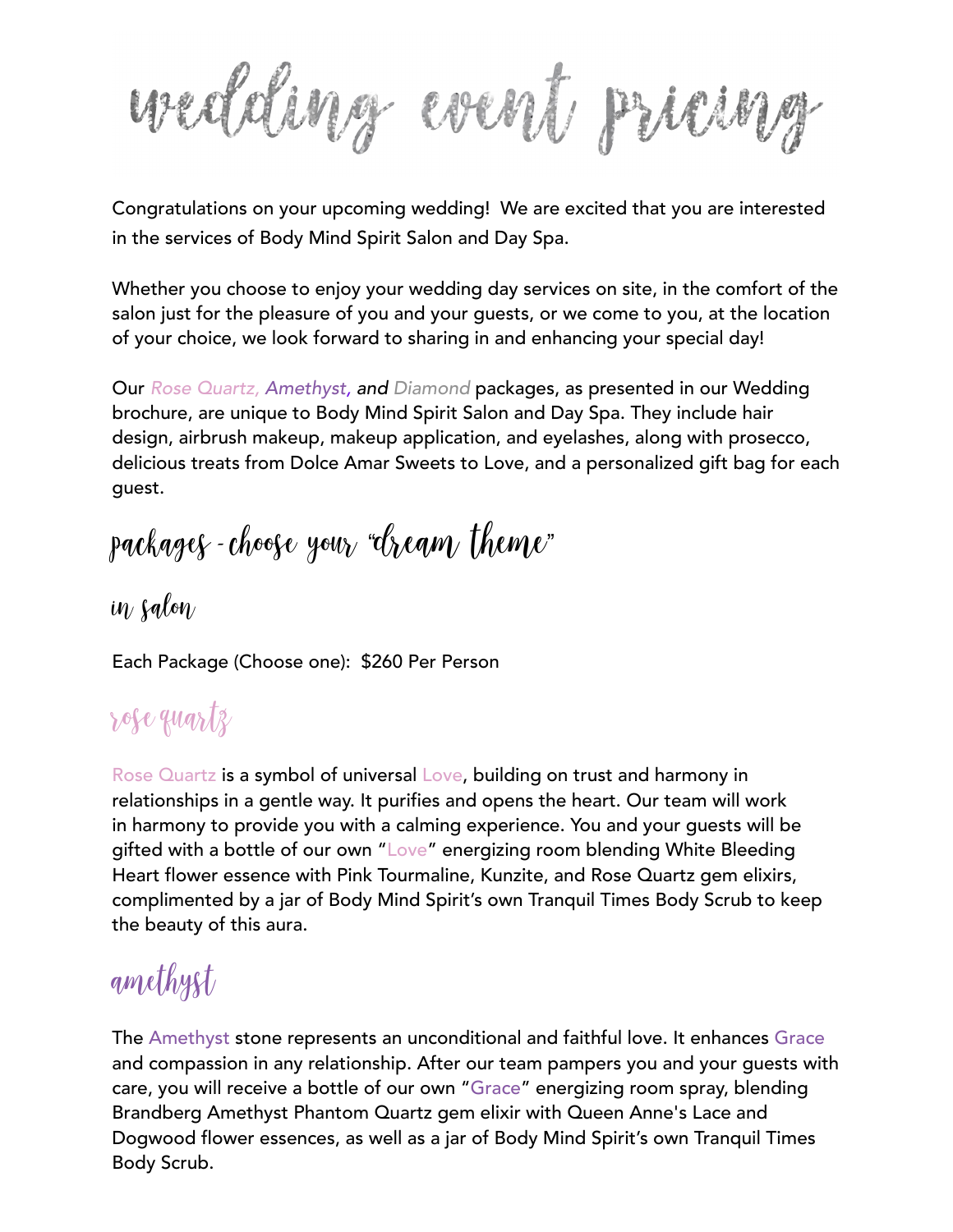wedding went piang

Congratulations on your upcoming wedding! We are excited that you are interested in the services of Body Mind Spirit Salon and Day Spa.

Whether you choose to enjoy your wedding day services on site, in the comfort of the salon just for the pleasure of you and your guests, or we come to you, at the location of your choice, we look forward to sharing in and enhancing your special day!

Our *Rose Quartz, Amethyst, and Diamond* packages, as presented in our Wedding brochure, are unique to Body Mind Spirit Salon and Day Spa. They include hair design, airbrush makeup, makeup application, and eyelashes, along with prosecco, delicious treats from Dolce Amar Sweets to Love, and a personalized gift bag for each guest.

packages *-* choose your "dream theme"

 $i\eta$  salo $\eta$ 

Each Package (Choose one): \$260 Per Person

#### rose quartz

Rose Quartz is a symbol of universal Love, building on trust and harmony in relationships in a gentle way. It purifies and opens the heart. Our team will work in harmony to provide you with a calming experience. You and your guests will be gifted with a bottle of our own "Love" energizing room blending White Bleeding Heart flower essence with Pink Tourmaline, Kunzite, and Rose Quartz gem elixirs, complimented by a jar of Body Mind Spirit's own Tranquil Times Body Scrub to keep the beauty of this aura.

# amethyst

The Amethyst stone represents an unconditional and faithful love. It enhances Grace and compassion in any relationship. After our team pampers you and your guests with care, you will receive a bottle of our own "Grace" energizing room spray, blending Brandberg Amethyst Phantom Quartz gem elixir with Queen Anne's Lace and Dogwood flower essences, as well as a jar of Body Mind Spirit's own Tranquil Times Body Scrub.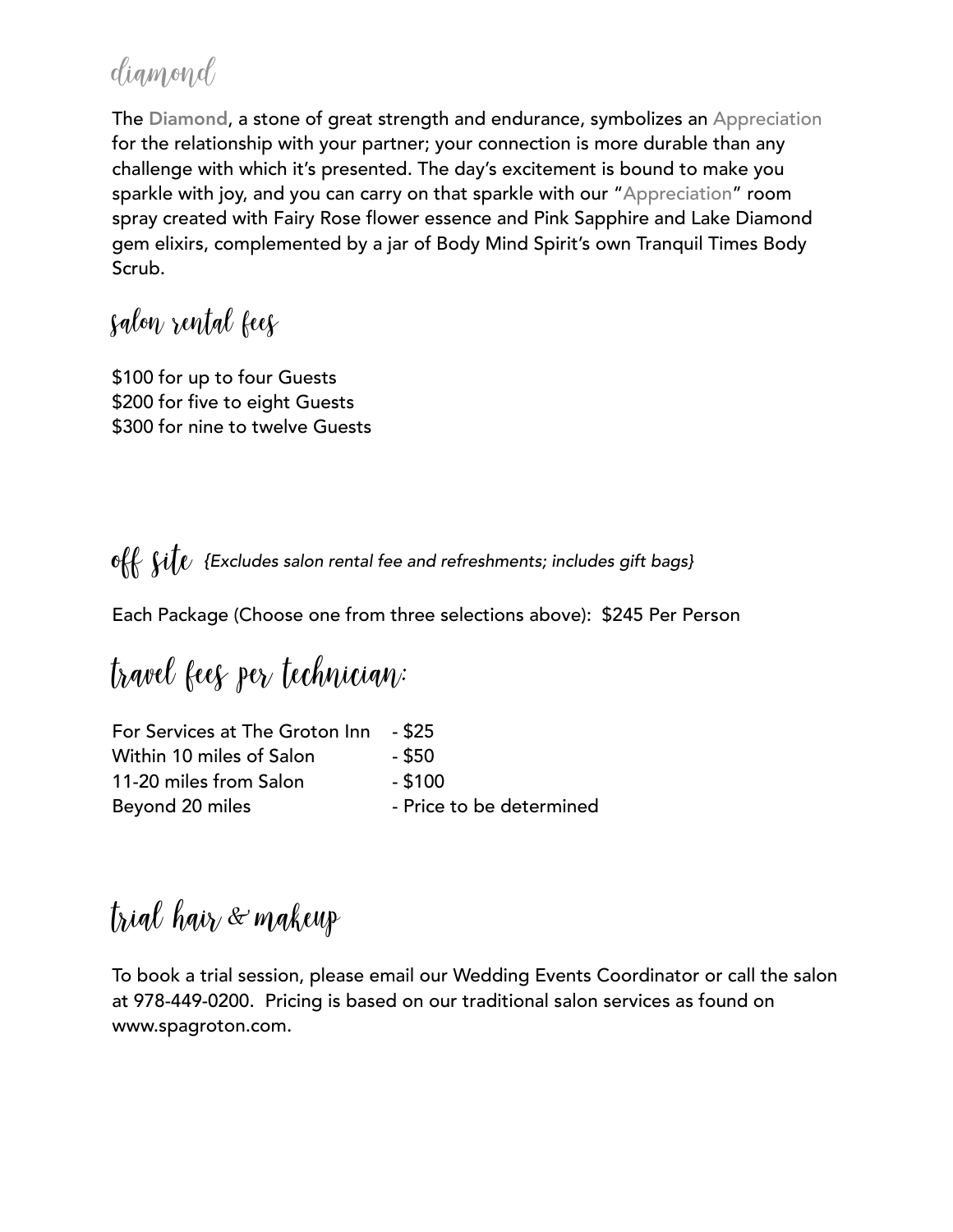#### diamond

The Diamond, a stone of great strength and endurance, symbolizes an Appreciation for the relationship with your partner; your connection is more durable than any challenge with which it's presented. The day's excitement is bound to make you sparkle with joy, and you can carry on that sparkle with our "Appreciation" room spray created with Fairy Rose flower essence and Pink Sapphire and Lake Diamond gem elixirs, complemented by a jar of Body Mind Spirit's own Tranquil Times Body Scrub.

#### salon rental fees

\$100 for up to four Guests \$200 for five to eight Guests \$300 for nine to twelve Guests

off  $\int$ it $\int$  {Excludes salon rental fee and refreshments; includes gift bags}

Each Package (Choose one from three selections above): \$245 Per Person

travel fees per technician*:*

| For Services at The Groton Inn | - \$25                   |
|--------------------------------|--------------------------|
| Within 10 miles of Salon       | - \$50                   |
| 11-20 miles from Salon         | $-$ \$100                |
| Beyond 20 miles                | - Price to be determined |

trial hair *&* makeup

To book a trial session, please email our Wedding Events Coordinator or call the salon at 978-449-0200. Pricing is based on our traditional salon services as found on www.spagroton.com.